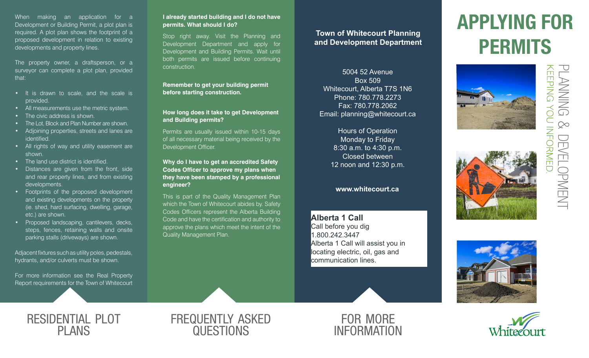When making an application for a Development or Building Permit, a plot plan is required. A plot plan shows the footprint of a proposed development in relation to existing developments and property lines.

The property owner, a draftsperson, or a surveyor can complete a plot plan, provided that:

- It is drawn to scale, and the scale is provided.
- All measurements use the metric system.
- The civic address is shown.
- The Lot, Block and Plan Number are shown.
- Adjoining properties, streets and lanes are identified.
- All rights of way and utility easement are shown.
- The land use district is identified.
- Distances are given from the front, side and rear property lines, and from existing developments.
- Footprints of the proposed development and existing developments on the property (ie. shed, hard surfacing, dwelling, garage, etc.) are shown.
- Proposed landscaping, cantilevers, decks, steps, fences, retaining walls and onsite parking stalls (driveways) are shown.

Adjacent fixtures such as utility poles, pedestals, hydrants, and/or culverts must be shown.

For more information see the Real Property Report requirements for the Town of Whitecourt

## **I already started building and I do not have permits. What should I do?**

Stop right away. Visit the Planning and Development Department and apply for Development and Building Permits. Wait until both permits are issued before continuing construction.

**Remember to get your building permit before starting construction.**

### **How long does it take to get Development and Building permits?**

Permits are usually issued within 10-15 days of all necessary material being received by the Development Officer.

**Why do I have to get an accredited Safety Codes Officer to approve my plans when they have been stamped by a professional engineer?**

This is part of the Quality Management Plan which the Town of Whitecourt abides by. Safety Codes Officers represent the Alberta Building Code and have the certification and authority to approve the plans which meet the intent of the Quality Management Plan.

# **Town of Whitecourt Planning and Development Department**

5004 52 Avenue Box 509 Whitecourt, Alberta T7S 1N6 Phone: 780.778.2273 Fax: 780.778.2062 Email: planning@whitecourt.ca

> Hours of Operation Monday to Friday 8:30 a.m. to 4:30 p.m. Closed between 12 noon and 12:30 p.m.

**www.whitecourt.ca**

**Alberta 1 Call** Call before you dig 1.800.242.3447 Alberta 1 Call will assist you in locating electric, oil, gas and communication lines.

# APPLYING FOR PERMITS











frequently asked **QUESTIONS**